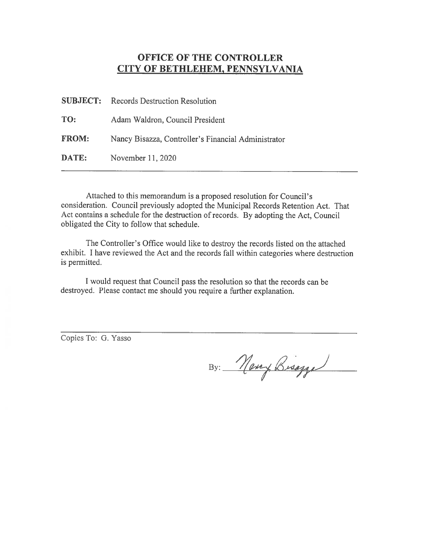## OFFICE OF THE CONTROLLER CITY OF BETHLEHEM, PENNSYLVANIA

|              | <b>SUBJECT:</b> Records Destruction Resolution      |
|--------------|-----------------------------------------------------|
| TO:          | Adam Waldron, Council President                     |
| <b>FROM:</b> | Nancy Bisazza, Controller's Financial Administrator |
| DATE:        | November 11, 2020                                   |

Attached to this memorandum is <sup>a</sup> proposed resolution for Council's consideration. Council previously adopted the Municipal Records Retention Act. That Act contains <sup>a</sup> schedule for the destruction of records. By adopting the Act, Council obligated the City to follow that schedule.

The Controller's Office would like to destroy the records listed on the attached exhibit. <sup>I</sup> have reviewed the Act and the records fall within categories where destruction is permitted.

I would reques<sup>t</sup> that Council pass the resolution so that the records can be destroyed. Please contact me should you require <sup>a</sup> further explanation.

Copies To: G. Yasso

By: Nevey Bisagge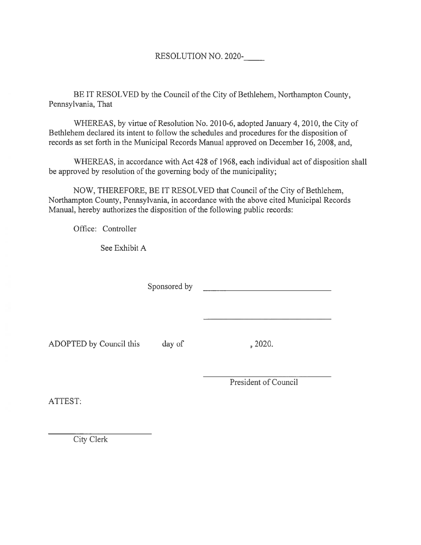## RESOLUTION NO. 2020-

BE IT RESOLVED by the Council of the City of Bethlehem, Northampton County, Pennsylvania, That

WHEREAS, by virtue of Resolution No. 2010-6, adopted January 4, 2010, the City of Bethlehem declared its intent to follow the schedules and procedures for the disposition of records as set forth in the Municipal Records Manual approved on December 16, 2008, and,

WHEREAS, in accordance with Act 42\$ of 196\$, each individual act of disposition shall be approved by resolution of the governing body of the municipality;

NOW, THEREFORE, BE IT RESOLVED that Council of the City of Bethlehem, Northampton County, Pennsylvania, in accordance with the above cited Municipal Records Manual, hereby authorizes the disposition of the following public records:

Office: Controller

See Exhibit A

Sponsored by the state of  $\mathcal{S}$ 

ADOPTED by Council this day of , 2020.

President of Council

ATTEST:

City Clerk